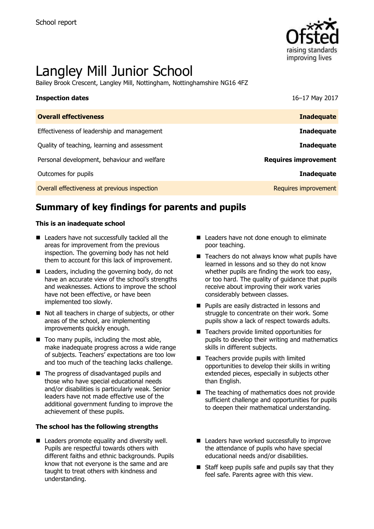

# Langley Mill Junior School

Bailey Brook Crescent, Langley Mill, Nottingham, Nottinghamshire NG16 4FZ

| <b>Inspection dates</b>                      | 16-17 May 2017              |
|----------------------------------------------|-----------------------------|
| <b>Overall effectiveness</b>                 | <b>Inadequate</b>           |
| Effectiveness of leadership and management   | <b>Inadequate</b>           |
| Quality of teaching, learning and assessment | <b>Inadequate</b>           |
| Personal development, behaviour and welfare  | <b>Requires improvement</b> |
| Outcomes for pupils                          | <b>Inadequate</b>           |
| Overall effectiveness at previous inspection | Requires improvement        |

# **Summary of key findings for parents and pupils**

### **This is an inadequate school**

- Leaders have not successfully tackled all the areas for improvement from the previous inspection. The governing body has not held them to account for this lack of improvement.
- Leaders, including the governing body, do not have an accurate view of the school's strengths and weaknesses. Actions to improve the school have not been effective, or have been implemented too slowly.
- Not all teachers in charge of subjects, or other areas of the school, are implementing improvements quickly enough.
- $\blacksquare$  Too many pupils, including the most able, make inadequate progress across a wide range of subjects. Teachers' expectations are too low and too much of the teaching lacks challenge.
- The progress of disadvantaged pupils and those who have special educational needs and/or disabilities is particularly weak. Senior leaders have not made effective use of the additional government funding to improve the achievement of these pupils.

### **The school has the following strengths**

■ Leaders promote equality and diversity well. Pupils are respectful towards others with different faiths and ethnic backgrounds. Pupils know that not everyone is the same and are taught to treat others with kindness and understanding.

- Leaders have not done enough to eliminate poor teaching.
- $\blacksquare$  Teachers do not always know what pupils have learned in lessons and so they do not know whether pupils are finding the work too easy, or too hard. The quality of guidance that pupils receive about improving their work varies considerably between classes.
- **Pupils are easily distracted in lessons and** struggle to concentrate on their work. Some pupils show a lack of respect towards adults.
- Teachers provide limited opportunities for pupils to develop their writing and mathematics skills in different subjects.
- Teachers provide pupils with limited opportunities to develop their skills in writing extended pieces, especially in subjects other than English.
- The teaching of mathematics does not provide sufficient challenge and opportunities for pupils to deepen their mathematical understanding.
- Leaders have worked successfully to improve the attendance of pupils who have special educational needs and/or disabilities.
- $\blacksquare$  Staff keep pupils safe and pupils say that they feel safe. Parents agree with this view.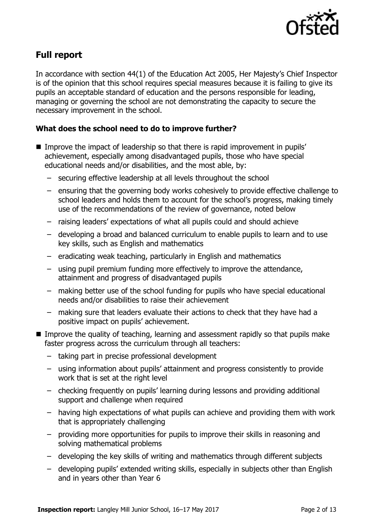

# **Full report**

In accordance with section 44(1) of the Education Act 2005, Her Majesty's Chief Inspector is of the opinion that this school requires special measures because it is failing to give its pupils an acceptable standard of education and the persons responsible for leading, managing or governing the school are not demonstrating the capacity to secure the necessary improvement in the school.

### **What does the school need to do to improve further?**

- Improve the impact of leadership so that there is rapid improvement in pupils' achievement, especially among disadvantaged pupils, those who have special educational needs and/or disabilities, and the most able, by:
	- securing effective leadership at all levels throughout the school
	- ensuring that the governing body works cohesively to provide effective challenge to school leaders and holds them to account for the school's progress, making timely use of the recommendations of the review of governance, noted below
	- raising leaders' expectations of what all pupils could and should achieve
	- developing a broad and balanced curriculum to enable pupils to learn and to use key skills, such as English and mathematics
	- eradicating weak teaching, particularly in English and mathematics
	- using pupil premium funding more effectively to improve the attendance, attainment and progress of disadvantaged pupils
	- making better use of the school funding for pupils who have special educational needs and/or disabilities to raise their achievement
	- making sure that leaders evaluate their actions to check that they have had a positive impact on pupils' achievement.
- **IMPROVE the quality of teaching, learning and assessment rapidly so that pupils make** faster progress across the curriculum through all teachers:
	- taking part in precise professional development
	- using information about pupils' attainment and progress consistently to provide work that is set at the right level
	- checking frequently on pupils' learning during lessons and providing additional support and challenge when required
	- having high expectations of what pupils can achieve and providing them with work that is appropriately challenging
	- providing more opportunities for pupils to improve their skills in reasoning and solving mathematical problems
	- developing the key skills of writing and mathematics through different subjects
	- developing pupils' extended writing skills, especially in subjects other than English and in years other than Year 6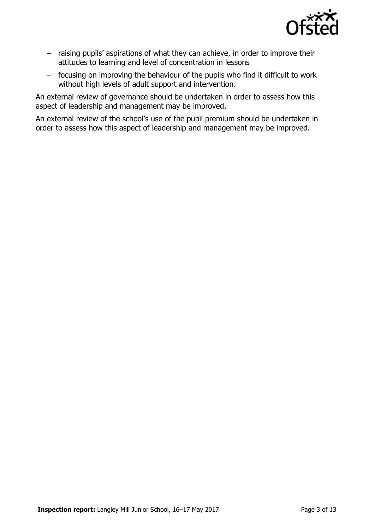

- raising pupils' aspirations of what they can achieve, in order to improve their attitudes to learning and level of concentration in lessons
- focusing on improving the behaviour of the pupils who find it difficult to work without high levels of adult support and intervention.

An external review of governance should be undertaken in order to assess how this aspect of leadership and management may be improved.

An external review of the school's use of the pupil premium should be undertaken in order to assess how this aspect of leadership and management may be improved.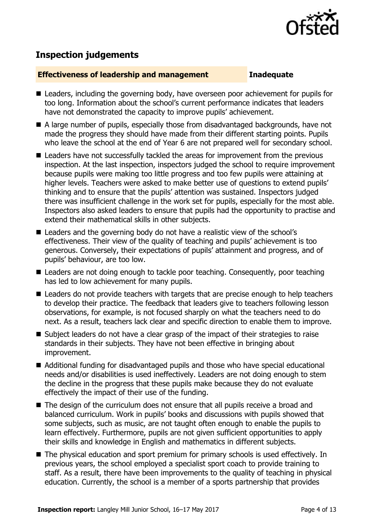

# **Inspection judgements**

### **Effectiveness of leadership and management Inadequate**

- Leaders, including the governing body, have overseen poor achievement for pupils for too long. Information about the school's current performance indicates that leaders have not demonstrated the capacity to improve pupils' achievement.
- A large number of pupils, especially those from disadvantaged backgrounds, have not made the progress they should have made from their different starting points. Pupils who leave the school at the end of Year 6 are not prepared well for secondary school.
- Leaders have not successfully tackled the areas for improvement from the previous inspection. At the last inspection, inspectors judged the school to require improvement because pupils were making too little progress and too few pupils were attaining at higher levels. Teachers were asked to make better use of questions to extend pupils' thinking and to ensure that the pupils' attention was sustained. Inspectors judged there was insufficient challenge in the work set for pupils, especially for the most able. Inspectors also asked leaders to ensure that pupils had the opportunity to practise and extend their mathematical skills in other subjects.
- Leaders and the governing body do not have a realistic view of the school's effectiveness. Their view of the quality of teaching and pupils' achievement is too generous. Conversely, their expectations of pupils' attainment and progress, and of pupils' behaviour, are too low.
- Leaders are not doing enough to tackle poor teaching. Consequently, poor teaching has led to low achievement for many pupils.
- Leaders do not provide teachers with targets that are precise enough to help teachers to develop their practice. The feedback that leaders give to teachers following lesson observations, for example, is not focused sharply on what the teachers need to do next. As a result, teachers lack clear and specific direction to enable them to improve.
- Subject leaders do not have a clear grasp of the impact of their strategies to raise standards in their subjects. They have not been effective in bringing about improvement.
- Additional funding for disadvantaged pupils and those who have special educational needs and/or disabilities is used ineffectively. Leaders are not doing enough to stem the decline in the progress that these pupils make because they do not evaluate effectively the impact of their use of the funding.
- The design of the curriculum does not ensure that all pupils receive a broad and balanced curriculum. Work in pupils' books and discussions with pupils showed that some subjects, such as music, are not taught often enough to enable the pupils to learn effectively. Furthermore, pupils are not given sufficient opportunities to apply their skills and knowledge in English and mathematics in different subjects.
- The physical education and sport premium for primary schools is used effectively. In previous years, the school employed a specialist sport coach to provide training to staff. As a result, there have been improvements to the quality of teaching in physical education. Currently, the school is a member of a sports partnership that provides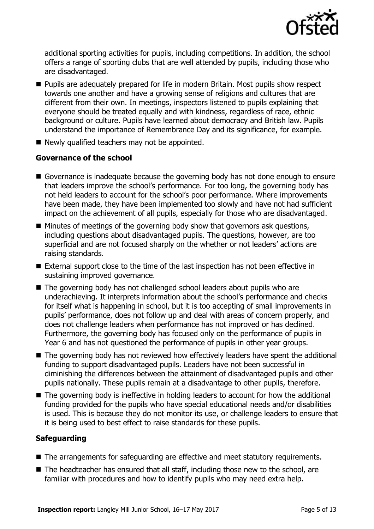

additional sporting activities for pupils, including competitions. In addition, the school offers a range of sporting clubs that are well attended by pupils, including those who are disadvantaged.

- **Pupils are adequately prepared for life in modern Britain. Most pupils show respect** towards one another and have a growing sense of religions and cultures that are different from their own. In meetings, inspectors listened to pupils explaining that everyone should be treated equally and with kindness, regardless of race, ethnic background or culture. Pupils have learned about democracy and British law. Pupils understand the importance of Remembrance Day and its significance, for example.
- Newly qualified teachers may not be appointed.

### **Governance of the school**

- Governance is inadequate because the governing body has not done enough to ensure that leaders improve the school's performance. For too long, the governing body has not held leaders to account for the school's poor performance. Where improvements have been made, they have been implemented too slowly and have not had sufficient impact on the achievement of all pupils, especially for those who are disadvantaged.
- $\blacksquare$  Minutes of meetings of the governing body show that governors ask questions, including questions about disadvantaged pupils. The questions, however, are too superficial and are not focused sharply on the whether or not leaders' actions are raising standards.
- External support close to the time of the last inspection has not been effective in sustaining improved governance.
- The governing body has not challenged school leaders about pupils who are underachieving. It interprets information about the school's performance and checks for itself what is happening in school, but it is too accepting of small improvements in pupils' performance, does not follow up and deal with areas of concern properly, and does not challenge leaders when performance has not improved or has declined. Furthermore, the governing body has focused only on the performance of pupils in Year 6 and has not questioned the performance of pupils in other year groups.
- The governing body has not reviewed how effectively leaders have spent the additional funding to support disadvantaged pupils. Leaders have not been successful in diminishing the differences between the attainment of disadvantaged pupils and other pupils nationally. These pupils remain at a disadvantage to other pupils, therefore.
- The governing body is ineffective in holding leaders to account for how the additional funding provided for the pupils who have special educational needs and/or disabilities is used. This is because they do not monitor its use, or challenge leaders to ensure that it is being used to best effect to raise standards for these pupils.

### **Safeguarding**

- The arrangements for safeguarding are effective and meet statutory requirements.
- The headteacher has ensured that all staff, including those new to the school, are familiar with procedures and how to identify pupils who may need extra help.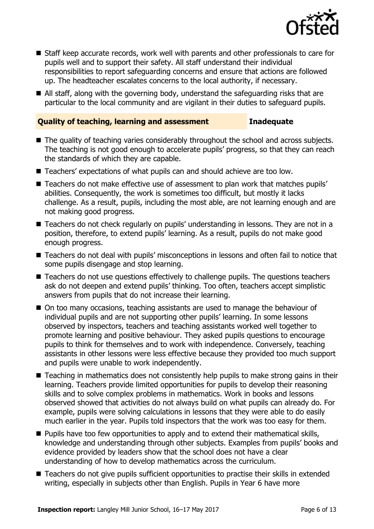

- Staff keep accurate records, work well with parents and other professionals to care for pupils well and to support their safety. All staff understand their individual responsibilities to report safeguarding concerns and ensure that actions are followed up. The headteacher escalates concerns to the local authority, if necessary.
- All staff, along with the governing body, understand the safeguarding risks that are particular to the local community and are vigilant in their duties to safeguard pupils.

### **Quality of teaching, learning and assessment Inadequate**

- The quality of teaching varies considerably throughout the school and across subjects. The teaching is not good enough to accelerate pupils' progress, so that they can reach the standards of which they are capable.
- Teachers' expectations of what pupils can and should achieve are too low.
- Teachers do not make effective use of assessment to plan work that matches pupils' abilities. Consequently, the work is sometimes too difficult, but mostly it lacks challenge. As a result, pupils, including the most able, are not learning enough and are not making good progress.
- Teachers do not check regularly on pupils' understanding in lessons. They are not in a position, therefore, to extend pupils' learning. As a result, pupils do not make good enough progress.
- Teachers do not deal with pupils' misconceptions in lessons and often fail to notice that some pupils disengage and stop learning.
- Teachers do not use questions effectively to challenge pupils. The questions teachers ask do not deepen and extend pupils' thinking. Too often, teachers accept simplistic answers from pupils that do not increase their learning.
- On too many occasions, teaching assistants are used to manage the behaviour of individual pupils and are not supporting other pupils' learning. In some lessons observed by inspectors, teachers and teaching assistants worked well together to promote learning and positive behaviour. They asked pupils questions to encourage pupils to think for themselves and to work with independence. Conversely, teaching assistants in other lessons were less effective because they provided too much support and pupils were unable to work independently.
- Teaching in mathematics does not consistently help pupils to make strong gains in their learning. Teachers provide limited opportunities for pupils to develop their reasoning skills and to solve complex problems in mathematics. Work in books and lessons observed showed that activities do not always build on what pupils can already do. For example, pupils were solving calculations in lessons that they were able to do easily much earlier in the year. Pupils told inspectors that the work was too easy for them.
- **Pupils have too few opportunities to apply and to extend their mathematical skills,** knowledge and understanding through other subjects. Examples from pupils' books and evidence provided by leaders show that the school does not have a clear understanding of how to develop mathematics across the curriculum.
- Teachers do not give pupils sufficient opportunities to practise their skills in extended writing, especially in subjects other than English. Pupils in Year 6 have more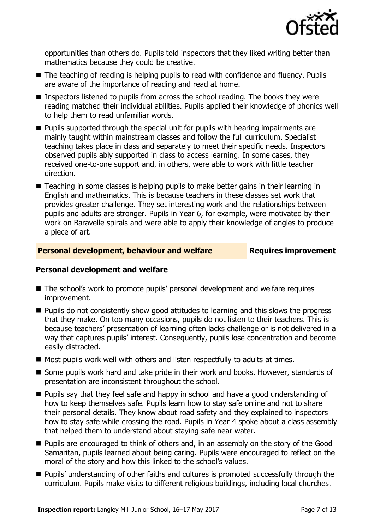

opportunities than others do. Pupils told inspectors that they liked writing better than mathematics because they could be creative.

- The teaching of reading is helping pupils to read with confidence and fluency. Pupils are aware of the importance of reading and read at home.
- Inspectors listened to pupils from across the school reading. The books they were reading matched their individual abilities. Pupils applied their knowledge of phonics well to help them to read unfamiliar words.
- $\blacksquare$  Pupils supported through the special unit for pupils with hearing impairments are mainly taught within mainstream classes and follow the full curriculum. Specialist teaching takes place in class and separately to meet their specific needs. Inspectors observed pupils ably supported in class to access learning. In some cases, they received one-to-one support and, in others, were able to work with little teacher direction.
- Teaching in some classes is helping pupils to make better gains in their learning in English and mathematics. This is because teachers in these classes set work that provides greater challenge. They set interesting work and the relationships between pupils and adults are stronger. Pupils in Year 6, for example, were motivated by their work on Baravelle spirals and were able to apply their knowledge of angles to produce a piece of art.

### **Personal development, behaviour and welfare Fig. 2.1 Requires improvement**

### **Personal development and welfare**

- The school's work to promote pupils' personal development and welfare requires improvement.
- **Pupils do not consistently show good attitudes to learning and this slows the progress** that they make. On too many occasions, pupils do not listen to their teachers. This is because teachers' presentation of learning often lacks challenge or is not delivered in a way that captures pupils' interest. Consequently, pupils lose concentration and become easily distracted.
- Most pupils work well with others and listen respectfully to adults at times.
- Some pupils work hard and take pride in their work and books. However, standards of presentation are inconsistent throughout the school.
- **Pupils say that they feel safe and happy in school and have a good understanding of** how to keep themselves safe. Pupils learn how to stay safe online and not to share their personal details. They know about road safety and they explained to inspectors how to stay safe while crossing the road. Pupils in Year 4 spoke about a class assembly that helped them to understand about staying safe near water.
- **Pupils are encouraged to think of others and, in an assembly on the story of the Good** Samaritan, pupils learned about being caring. Pupils were encouraged to reflect on the moral of the story and how this linked to the school's values.
- **Pupils' understanding of other faiths and cultures is promoted successfully through the** curriculum. Pupils make visits to different religious buildings, including local churches.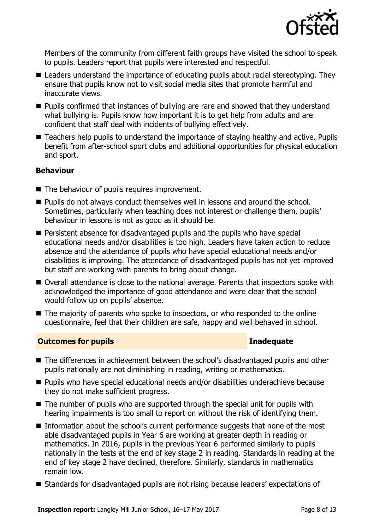

Members of the community from different faith groups have visited the school to speak to pupils. Leaders report that pupils were interested and respectful.

- Leaders understand the importance of educating pupils about racial stereotyping. They ensure that pupils know not to visit social media sites that promote harmful and inaccurate views.
- Pupils confirmed that instances of bullying are rare and showed that they understand what bullying is. Pupils know how important it is to get help from adults and are confident that staff deal with incidents of bullying effectively.
- Teachers help pupils to understand the importance of staying healthy and active. Pupils benefit from after-school sport clubs and additional opportunities for physical education and sport.

### **Behaviour**

- The behaviour of pupils requires improvement.
- **Pupils do not always conduct themselves well in lessons and around the school.** Sometimes, particularly when teaching does not interest or challenge them, pupils' behaviour in lessons is not as good as it should be.
- **Persistent absence for disadvantaged pupils and the pupils who have special** educational needs and/or disabilities is too high. Leaders have taken action to reduce absence and the attendance of pupils who have special educational needs and/or disabilities is improving. The attendance of disadvantaged pupils has not yet improved but staff are working with parents to bring about change.
- Overall attendance is close to the national average. Parents that inspectors spoke with acknowledged the importance of good attendance and were clear that the school would follow up on pupils' absence.
- $\blacksquare$  The majority of parents who spoke to inspectors, or who responded to the online questionnaire, feel that their children are safe, happy and well behaved in school.

### **Outcomes for pupils Inadequate**

- The differences in achievement between the school's disadvantaged pupils and other pupils nationally are not diminishing in reading, writing or mathematics.
- Pupils who have special educational needs and/or disabilities underachieve because they do not make sufficient progress.
- The number of pupils who are supported through the special unit for pupils with hearing impairments is too small to report on without the risk of identifying them.
- Information about the school's current performance suggests that none of the most able disadvantaged pupils in Year 6 are working at greater depth in reading or mathematics. In 2016, pupils in the previous Year 6 performed similarly to pupils nationally in the tests at the end of key stage 2 in reading. Standards in reading at the end of key stage 2 have declined, therefore. Similarly, standards in mathematics remain low.
- Standards for disadvantaged pupils are not rising because leaders' expectations of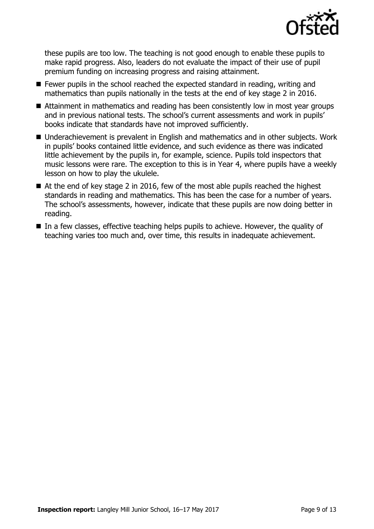

these pupils are too low. The teaching is not good enough to enable these pupils to make rapid progress. Also, leaders do not evaluate the impact of their use of pupil premium funding on increasing progress and raising attainment.

- Fewer pupils in the school reached the expected standard in reading, writing and mathematics than pupils nationally in the tests at the end of key stage 2 in 2016.
- Attainment in mathematics and reading has been consistently low in most year groups and in previous national tests. The school's current assessments and work in pupils' books indicate that standards have not improved sufficiently.
- Underachievement is prevalent in English and mathematics and in other subjects. Work in pupils' books contained little evidence, and such evidence as there was indicated little achievement by the pupils in, for example, science. Pupils told inspectors that music lessons were rare. The exception to this is in Year 4, where pupils have a weekly lesson on how to play the ukulele.
- $\blacksquare$  At the end of key stage 2 in 2016, few of the most able pupils reached the highest standards in reading and mathematics. This has been the case for a number of years. The school's assessments, however, indicate that these pupils are now doing better in reading.
- In a few classes, effective teaching helps pupils to achieve. However, the quality of teaching varies too much and, over time, this results in inadequate achievement.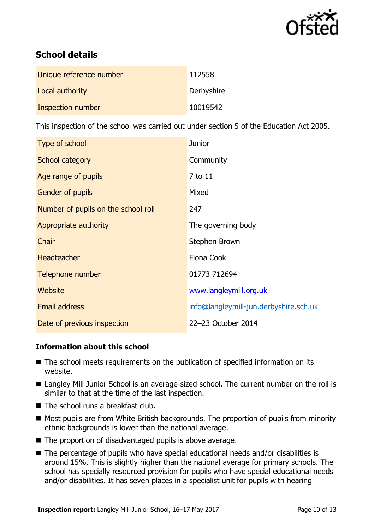

# **School details**

| Unique reference number | 112558     |
|-------------------------|------------|
| Local authority         | Derbyshire |
| Inspection number       | 10019542   |

This inspection of the school was carried out under section 5 of the Education Act 2005.

| Type of school                      | <b>Junior</b>                          |
|-------------------------------------|----------------------------------------|
| School category                     | Community                              |
| Age range of pupils                 | 7 to 11                                |
| Gender of pupils                    | Mixed                                  |
| Number of pupils on the school roll | 247                                    |
| Appropriate authority               | The governing body                     |
| Chair                               | Stephen Brown                          |
| <b>Headteacher</b>                  | Fiona Cook                             |
| Telephone number                    | 01773 712694                           |
| <b>Website</b>                      | www.langleymill.org.uk                 |
| <b>Email address</b>                | info@langleymill-jun.derbyshire.sch.uk |
| Date of previous inspection         | 22-23 October 2014                     |

### **Information about this school**

- The school meets requirements on the publication of specified information on its website.
- Langley Mill Junior School is an average-sized school. The current number on the roll is similar to that at the time of the last inspection.
- The school runs a breakfast club.
- Most pupils are from White British backgrounds. The proportion of pupils from minority ethnic backgrounds is lower than the national average.
- The proportion of disadvantaged pupils is above average.
- The percentage of pupils who have special educational needs and/or disabilities is around 15%. This is slightly higher than the national average for primary schools. The school has specially resourced provision for pupils who have special educational needs and/or disabilities. It has seven places in a specialist unit for pupils with hearing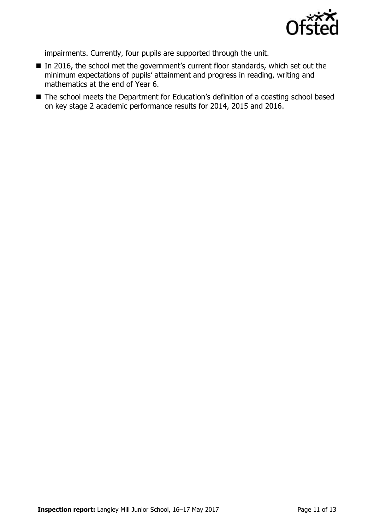

impairments. Currently, four pupils are supported through the unit.

- In 2016, the school met the government's current floor standards, which set out the minimum expectations of pupils' attainment and progress in reading, writing and mathematics at the end of Year 6.
- The school meets the Department for Education's definition of a coasting school based on key stage 2 academic performance results for 2014, 2015 and 2016.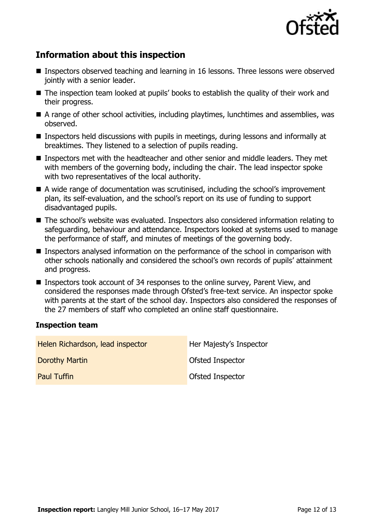

# **Information about this inspection**

- Inspectors observed teaching and learning in 16 lessons. Three lessons were observed jointly with a senior leader.
- The inspection team looked at pupils' books to establish the quality of their work and their progress.
- A range of other school activities, including playtimes, lunchtimes and assemblies, was observed.
- Inspectors held discussions with pupils in meetings, during lessons and informally at breaktimes. They listened to a selection of pupils reading.
- Inspectors met with the headteacher and other senior and middle leaders. They met with members of the governing body, including the chair. The lead inspector spoke with two representatives of the local authority.
- A wide range of documentation was scrutinised, including the school's improvement plan, its self-evaluation, and the school's report on its use of funding to support disadvantaged pupils.
- The school's website was evaluated. Inspectors also considered information relating to safeguarding, behaviour and attendance. Inspectors looked at systems used to manage the performance of staff, and minutes of meetings of the governing body.
- Inspectors analysed information on the performance of the school in comparison with other schools nationally and considered the school's own records of pupils' attainment and progress.
- Inspectors took account of 34 responses to the online survey, Parent View, and considered the responses made through Ofsted's free-text service. An inspector spoke with parents at the start of the school day. Inspectors also considered the responses of the 27 members of staff who completed an online staff questionnaire.

### **Inspection team**

| Helen Richardson, lead inspector | Her Majesty's Inspector |
|----------------------------------|-------------------------|
| Dorothy Martin                   | Ofsted Inspector        |
| <b>Paul Tuffin</b>               | Ofsted Inspector        |